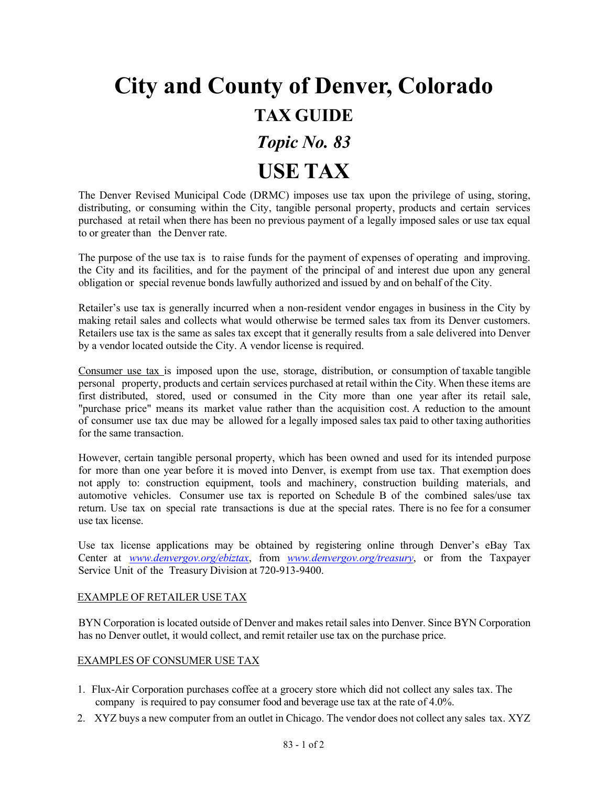## **City and County of Denver, Colorado TAX GUIDE** *Topic No. 83*

# **USE TAX**

The Denver Revised Municipal Code (DRMC) imposes use tax upon the privilege of using, storing, distributing, or consuming within the City, tangible personal property, products and certain services purchased at retail when there has been no previous payment of a legally imposed sales or use tax equal to or greater than the Denver rate.

The purpose of the use tax is to raise funds for the payment of expenses of operating and improving. the City and its facilities, and for the payment of the principal of and interest due upon any general obligation or special revenue bonds lawfully authorized and issued by and on behalf of the City.

Retailer's use tax is generally incurred when a non-resident vendor engages in business in the City by making retail sales and collects what would otherwise be termed sales tax from its Denver customers. Retailers use tax is the same as sales tax except that it generally results from a sale delivered into Denver by a vendor located outside the City. A vendor license is required.

Consumer use tax is imposed upon the use, storage, distribution, or consumption of taxable tangible personal property, products and certain services purchased at retail within the City. When these items are first distributed, stored, used or consumed in the City more than one year after its retail sale, "purchase price" means its market value rather than the acquisition cost. A reduction to the amount of consumer use tax due may be allowed for a legally imposed sales tax paid to other taxing authorities for the same transaction.

However, certain tangible personal property, which has been owned and used for its intended purpose for more than one year before it is moved into Denver, is exempt from use tax. That exemption does not apply to: construction equipment, tools and machinery, construction building materials, and automotive vehicles. Consumer use tax is reported on Schedule B of the combined sales/use tax return. Use tax on special rate transactions is due at the special rates. There is no fee for a consumer use tax license.

Use tax license applications may be obtained by registering online through Denver's eBay Tax Center at *[www.denvergov.org/ebiztax](http://www.denvergov.org/ebiztax)*, from *[www.denvergov.org/treasury](http://www.denvergov.org/treasury)*, or from the Taxpayer Service Unit of the Treasury Division at 720-913-9400.

### EXAMPLE OF RETAILER USE TAX

BYN Corporation is located outside of Denver and makes retail sales into Denver. Since BYN Corporation has no Denver outlet, it would collect, and remit retailer use tax on the purchase price.

### EXAMPLES OF CONSUMER USE TAX

- 1. Flux-Air Corporation purchases coffee at a grocery store which did not collect any sales tax. The company is required to pay consumer food and beverage use tax at the rate of 4.0%.
- 2. XYZ buys a new computer from an outlet in Chicago. The vendor does not collect any sales tax. XYZ